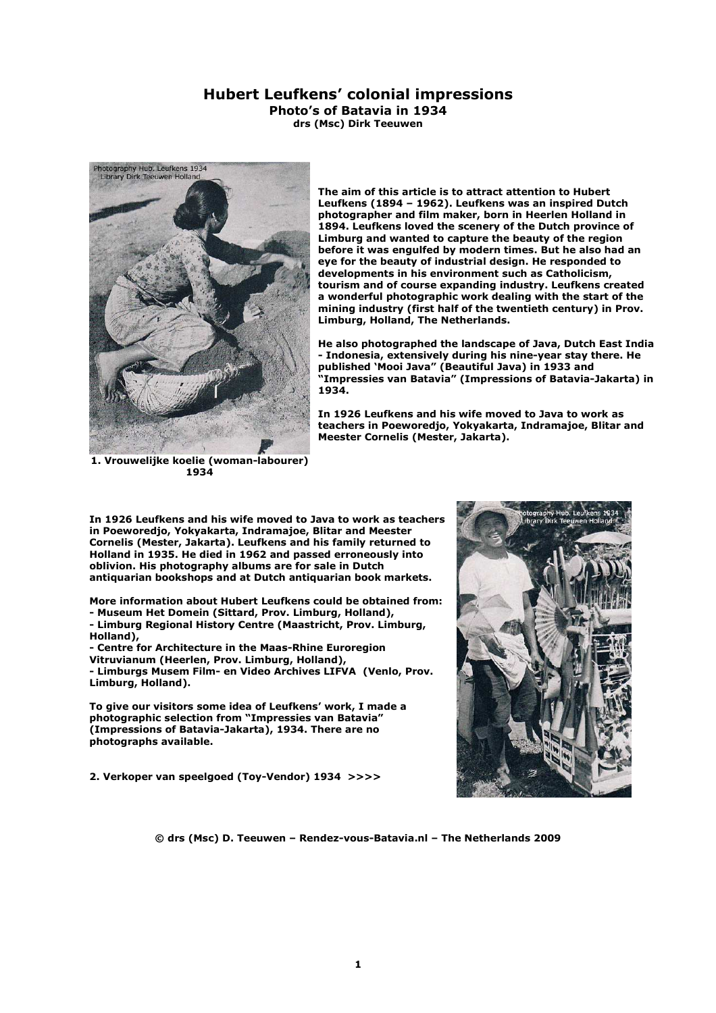## **Hubert Leufkens' colonial impressions Photo's of Batavia in 1934**

**drs (Msc) Dirk Teeuwen** 



**The aim of this article is to attract attention to Hubert Leufkens (1894 – 1962). Leufkens was an inspired Dutch photographer and film maker, born in Heerlen Holland in 1894. Leufkens loved the scenery of the Dutch province of Limburg and wanted to capture the beauty of the region before it was engulfed by modern times. But he also had an eye for the beauty of industrial design. He responded to developments in his environment such as Catholicism, tourism and of course expanding industry. Leufkens created a wonderful photographic work dealing with the start of the mining industry (first half of the twentieth century) in Prov. Limburg, Holland, The Netherlands.** 

**He also photographed the landscape of Java, Dutch East India - Indonesia, extensively during his nine-year stay there. He published 'Mooi Java" (Beautiful Java) in 1933 and "Impressies van Batavia" (Impressions of Batavia-Jakarta) in 1934.** 

**In 1926 Leufkens and his wife moved to Java to work as teachers in Poeworedjo, Yokyakarta, Indramajoe, Blitar and Meester Cornelis (Mester, Jakarta).** 

**1. Vrouwelijke koelie (woman-labourer) 1934** 

**In 1926 Leufkens and his wife moved to Java to work as teachers in Poeworedjo, Yokyakarta, Indramajoe, Blitar and Meester Cornelis (Mester, Jakarta). Leufkens and his family returned to Holland in 1935. He died in 1962 and passed erroneously into oblivion. His photography albums are for sale in Dutch antiquarian bookshops and at Dutch antiquarian book markets.** 

**More information about Hubert Leufkens could be obtained from:** 

- **Museum Het Domein (Sittard, Prov. Limburg, Holland),**
- **Limburg Regional History Centre (Maastricht, Prov. Limburg, Holland),**

**- Centre for Architecture in the Maas-Rhine Euroregion Vitruvianum (Heerlen, Prov. Limburg, Holland), - Limburgs Musem Film- en Video Archives LIFVA (Venlo, Prov. Limburg, Holland).** 

**To give our visitors some idea of Leufkens' work, I made a photographic selection from "Impressies van Batavia" (Impressions of Batavia-Jakarta), 1934. There are no photographs available.** 

**2. Verkoper van speelgoed (Toy-Vendor) 1934 >>>>** 

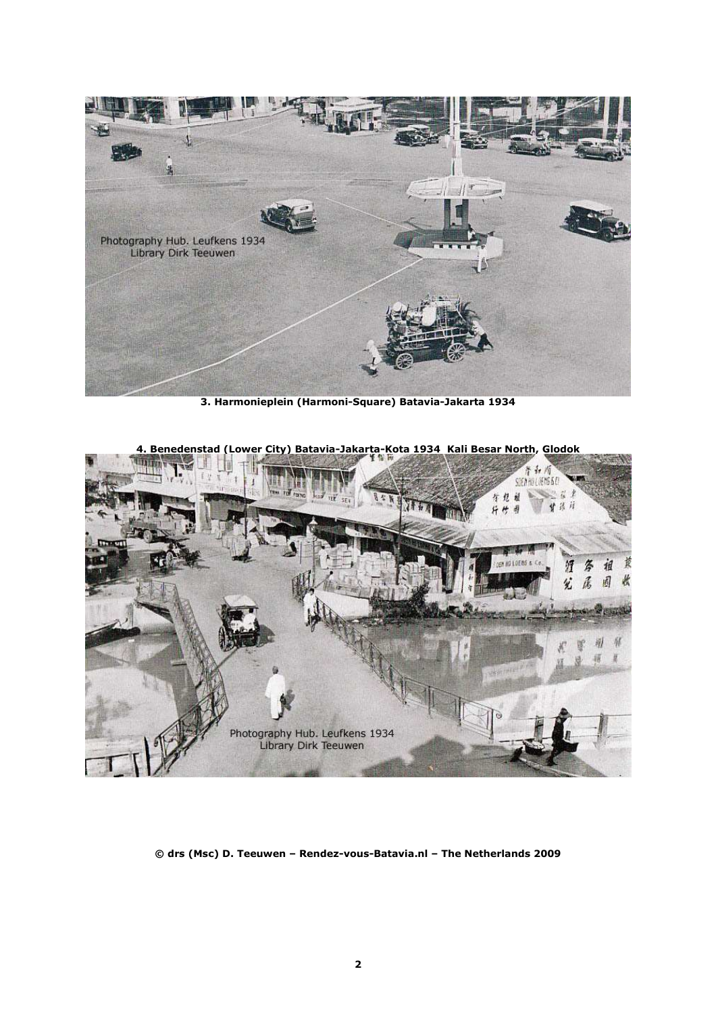

**3. Harmonieplein (Harmoni-Square) Batavia-Jakarta 1934** 



**4. Benedenstad (Lower City) Batavia-Jakarta-Kota 1934 Kali Besar North, Glodok**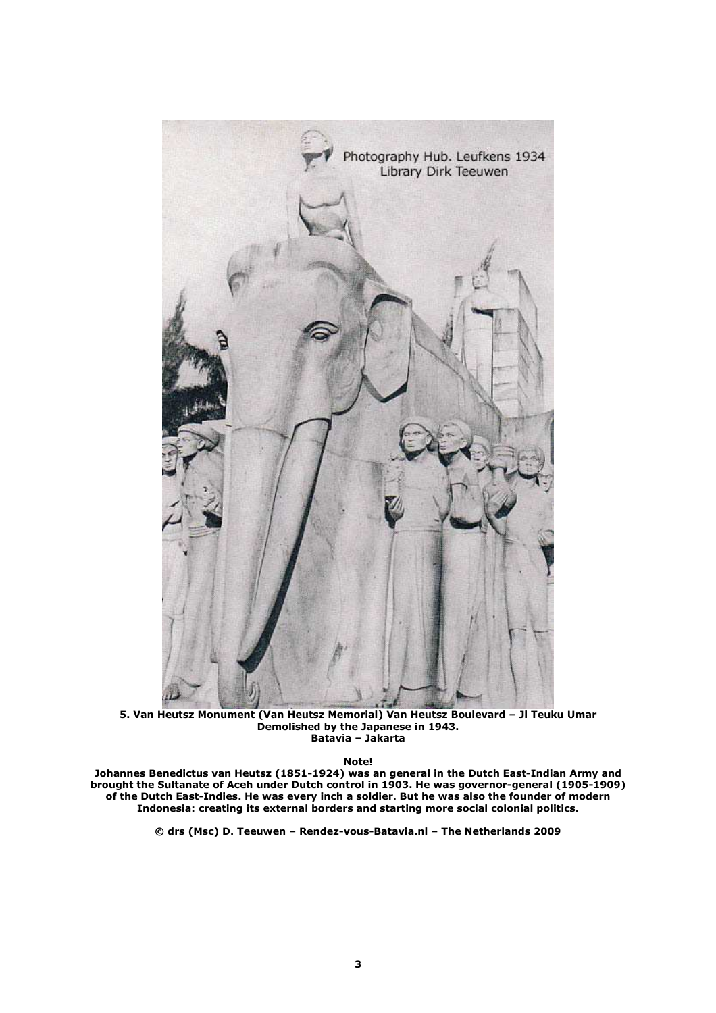

**5. Van Heutsz Monument (Van Heutsz Memorial) Van Heutsz Boulevard – Jl Teuku Umar Demolished by the Japanese in 1943. Batavia – Jakarta** 

**Note!** 

**Johannes Benedictus van Heutsz (1851-1924) was an general in the Dutch East-Indian Army and brought the Sultanate of Aceh under Dutch control in 1903. He was governor-general (1905-1909) of the Dutch East-Indies. He was every inch a soldier. But he was also the founder of modern Indonesia: creating its external borders and starting more social colonial politics.**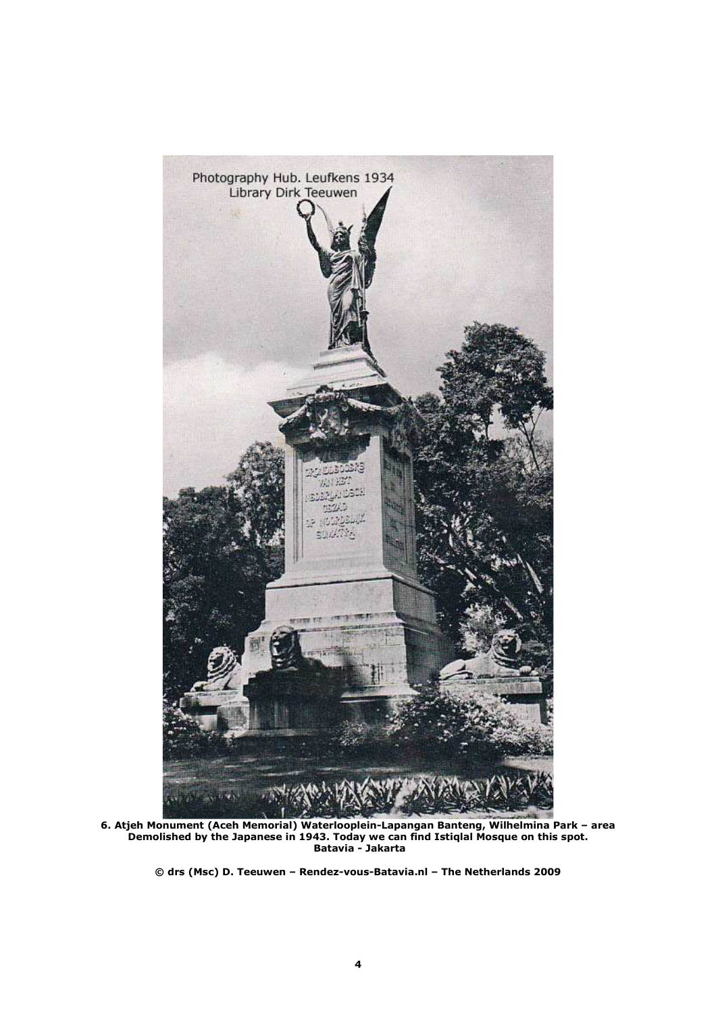

**6. Atjeh Monument (Aceh Memorial) Waterlooplein-Lapangan Banteng, Wilhelmina Park – area Demolished by the Japanese in 1943. Today we can find Istiqlal Mosque on this spot. Batavia - Jakarta**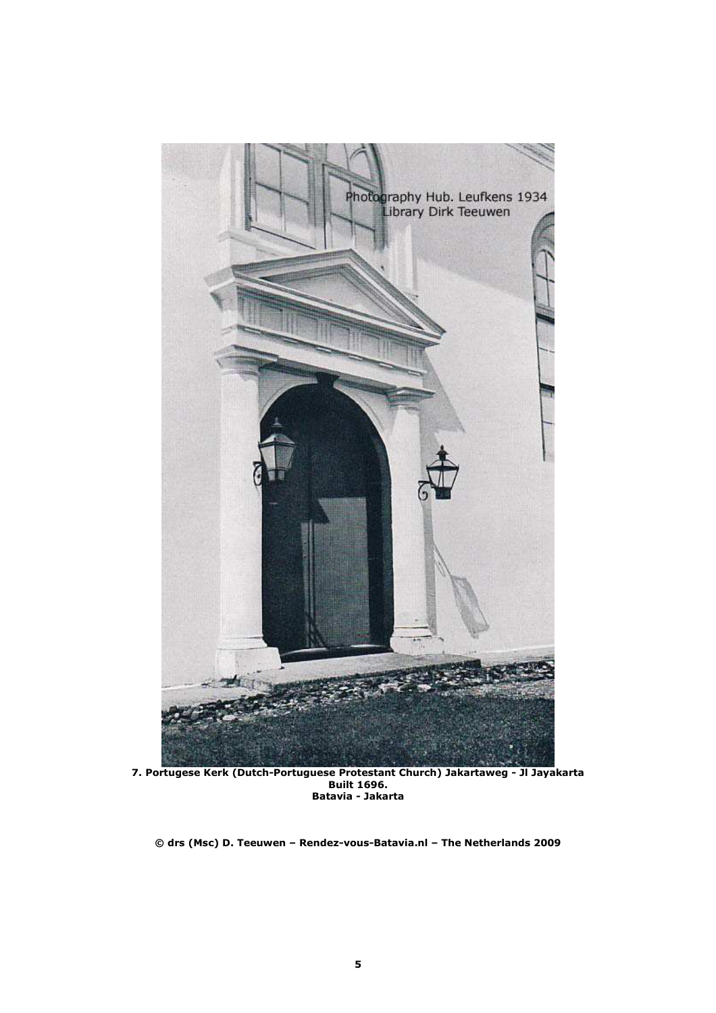

**7. Portugese Kerk (Dutch-Portuguese Protestant Church) Jakartaweg - Jl Jayakarta Built 1696. Batavia - Jakarta**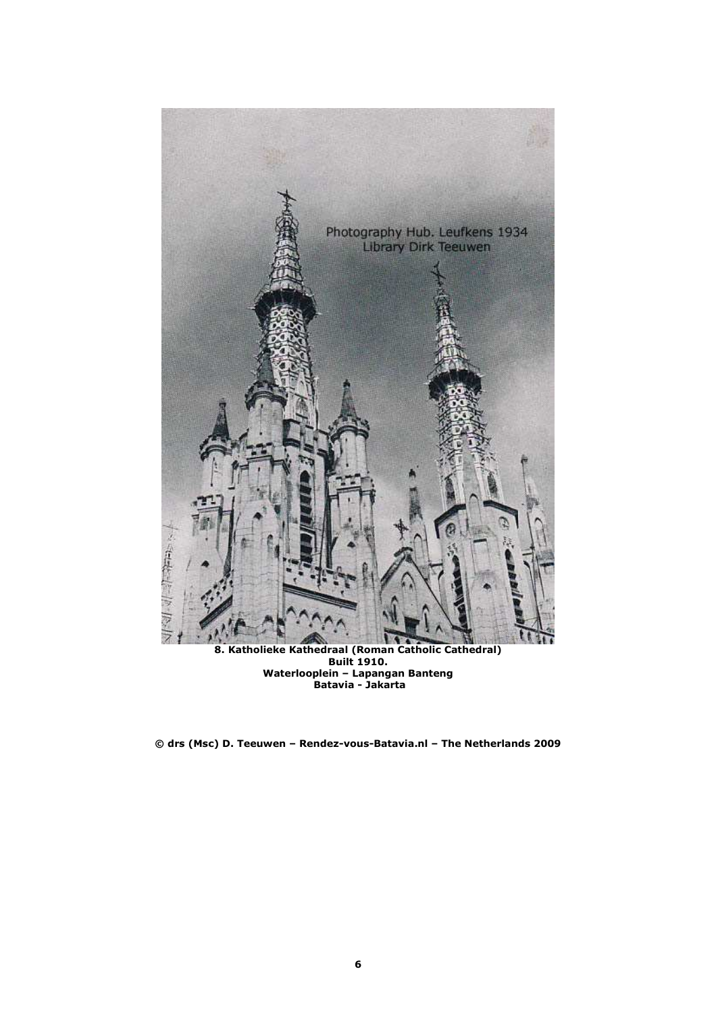

**8. Katholieke Kathedraal (Roman Catholic Cathedral) Built 1910. Waterlooplein – Lapangan Banteng Batavia - Jakarta** 

**© drs (Msc) D. Teeuwen – Rendez-vous-Batavia.nl – The Netherlands 2009**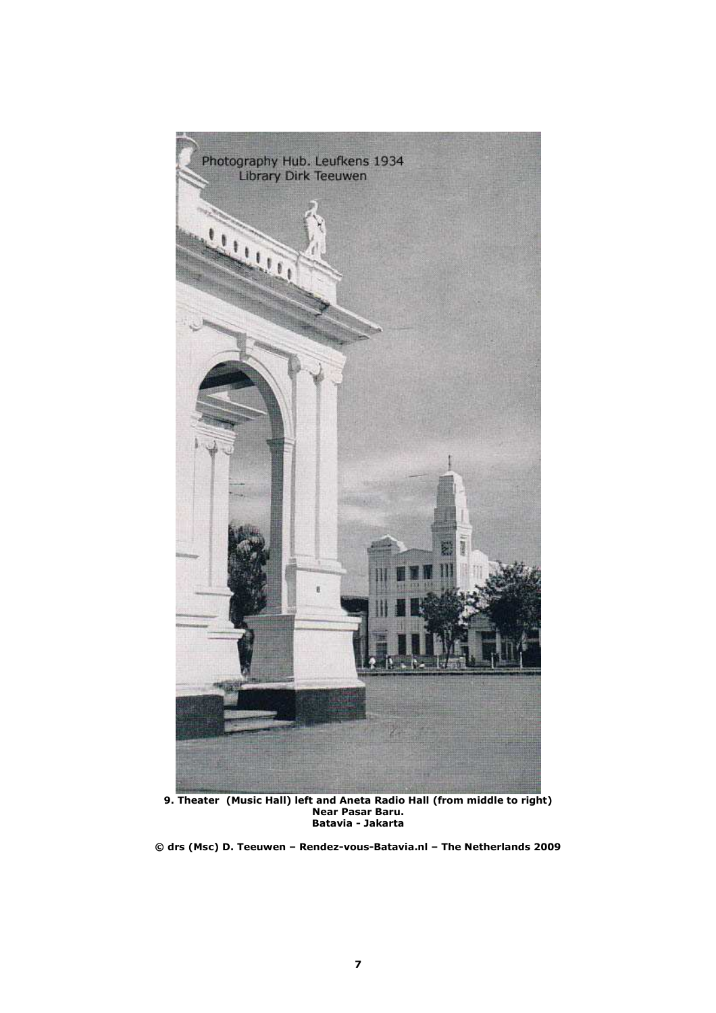

**9. Theater (Music Hall) left and Aneta Radio Hall (from middle to right) Near Pasar Baru. Batavia - Jakarta** 

**© drs (Msc) D. Teeuwen – Rendez-vous-Batavia.nl – The Netherlands 2009**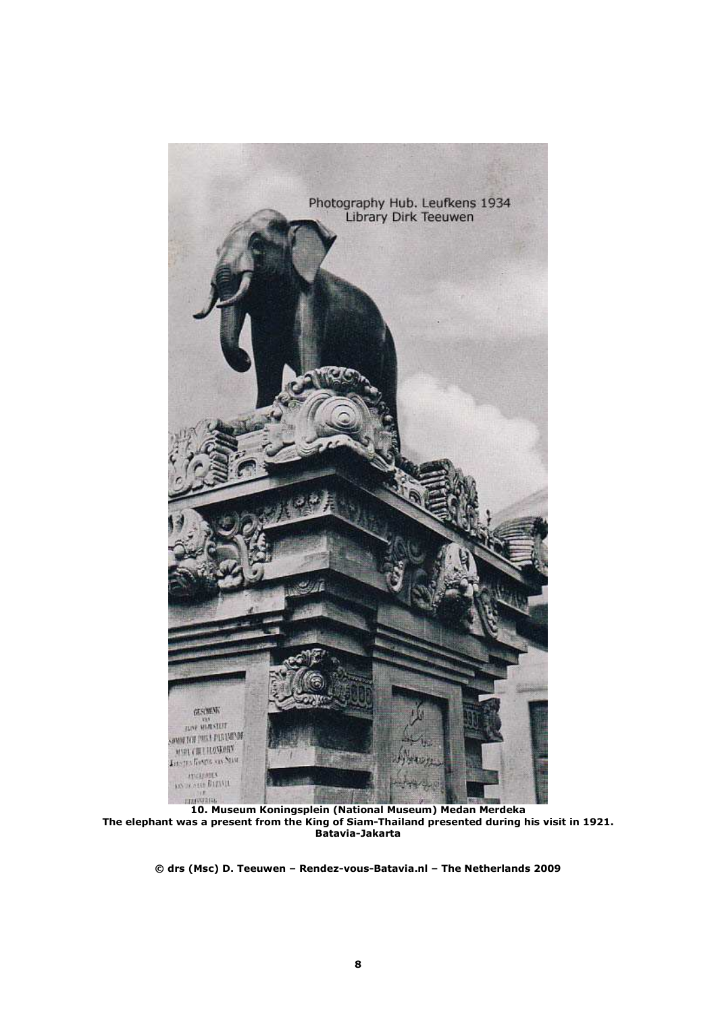

**10. Museum Koningsplein (National Museum) Medan Merdeka The elephant was a present from the King of Siam-Thailand presented during his visit in 1921. Batavia-Jakarta**